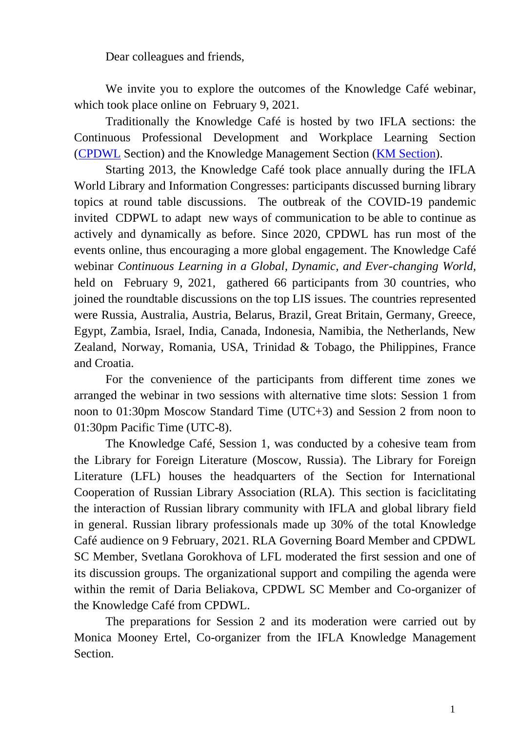Dear colleagues and friends,

We invite you to explore the outcomes of the Knowledge Café webinar, which took place online on February 9, 2021.

Traditionally the Knowledge Café is hosted by two IFLA sections: the Continuous Professional Development and Workplace Learning Section [\(CPDWL](https://www.ifla.org/cpdwl) Section) and the Knowledge Management Section [\(KM Section\)](https://www.ifla.org/km).

Starting 2013, the Knowledge Café took place annually during the IFLA World Library and Information Congresses: participants discussed burning library topics at round table discussions. The outbreak of the COVID-19 pandemic invited CDPWL to adapt new ways of communication to be able to continue as actively and dynamically as before. Since 2020, CPDWL has run most of the events online, thus encouraging a more global engagement. The Knowledge Café webinar *Continuous Learning in a Global, Dynamic, and Ever-changing World,*  held on February 9, 2021, gathered 66 participants from 30 countries, who joined the roundtable discussions on the top LIS issues. The countries represented were Russia, Australia, Austria, Belarus, Brazil, Great Britain, Germany, Greece, Egypt, Zambia, Israel, India, Canada, Indonesia, Namibia, the Netherlands, New Zealand, Norway, Romania, USA, Trinidad & Tobago, the Philippines, France and Croatia.

For the convenience of the participants from different time zones we arranged the webinar in two sessions with alternative time slots: Session 1 from noon to 01:30pm Moscow Standard Time (UTC+3) and Session 2 from noon to 01:30pm Pacific Time (UTC-8).

The Knowledge Café, Session 1, was conducted by a cohesive team from the Library for Foreign Literature (Moscow, Russia). The Library for Foreign Literature (LFL) houses the headquarters of the Section for International Cooperation of Russian Library Association (RLA). This section is faciclitating the interaction of Russian library community with IFLA and global library field in general. Russian library professionals made up 30% of the total Knowledge Café audience on 9 February, 2021. RLA Governing Board Member and CPDWL SC Member, Svetlana Gorokhova of LFL moderated the first session and one of its discussion groups. The organizational support and compiling the agenda were within the remit of Daria Beliakova, CPDWL SC Member and Co-organizer of the Knowledge Café from CPDWL.

The preparations for Session 2 and its moderation were carried out by Monica Mooney Ertel, Co-organizer from the IFLA Knowledge Management Section.